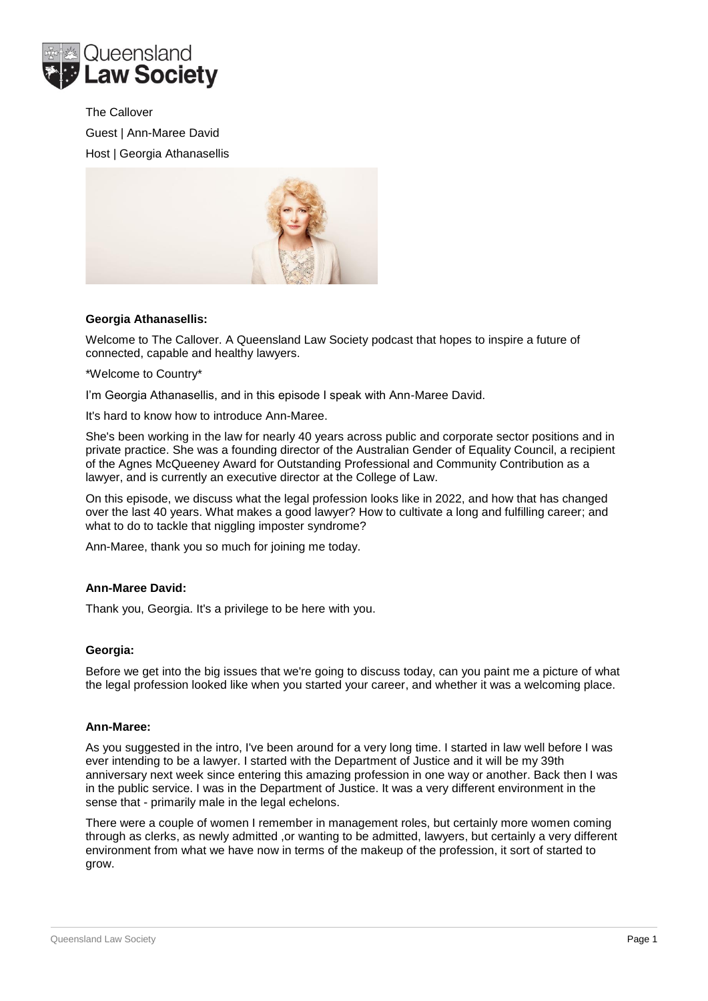

The Callover Guest | Ann-Maree David Host | Georgia Athanasellis



#### **Georgia Athanasellis:**

Welcome to The Callover. A Queensland Law Society podcast that hopes to inspire a future of connected, capable and healthy lawyers.

\*Welcome to Country\*

I'm Georgia Athanasellis, and in this episode I speak with Ann-Maree David.

It's hard to know how to introduce Ann-Maree.

She's been working in the law for nearly 40 years across public and corporate sector positions and in private practice. She was a founding director of the Australian Gender of Equality Council, a recipient of the Agnes McQueeney Award for Outstanding Professional and Community Contribution as a lawyer, and is currently an executive director at the College of Law.

On this episode, we discuss what the legal profession looks like in 2022, and how that has changed over the last 40 years. What makes a good lawyer? How to cultivate a long and fulfilling career; and what to do to tackle that niggling imposter syndrome?

Ann-Maree, thank you so much for joining me today.

#### **Ann-Maree David:**

Thank you, Georgia. It's a privilege to be here with you.

#### **Georgia:**

Before we get into the big issues that we're going to discuss today, can you paint me a picture of what the legal profession looked like when you started your career, and whether it was a welcoming place.

#### **Ann-Maree:**

As you suggested in the intro, I've been around for a very long time. I started in law well before I was ever intending to be a lawyer. I started with the Department of Justice and it will be my 39th anniversary next week since entering this amazing profession in one way or another. Back then I was in the public service. I was in the Department of Justice. It was a very different environment in the sense that - primarily male in the legal echelons.

There were a couple of women I remember in management roles, but certainly more women coming through as clerks, as newly admitted ,or wanting to be admitted, lawyers, but certainly a very different environment from what we have now in terms of the makeup of the profession, it sort of started to grow.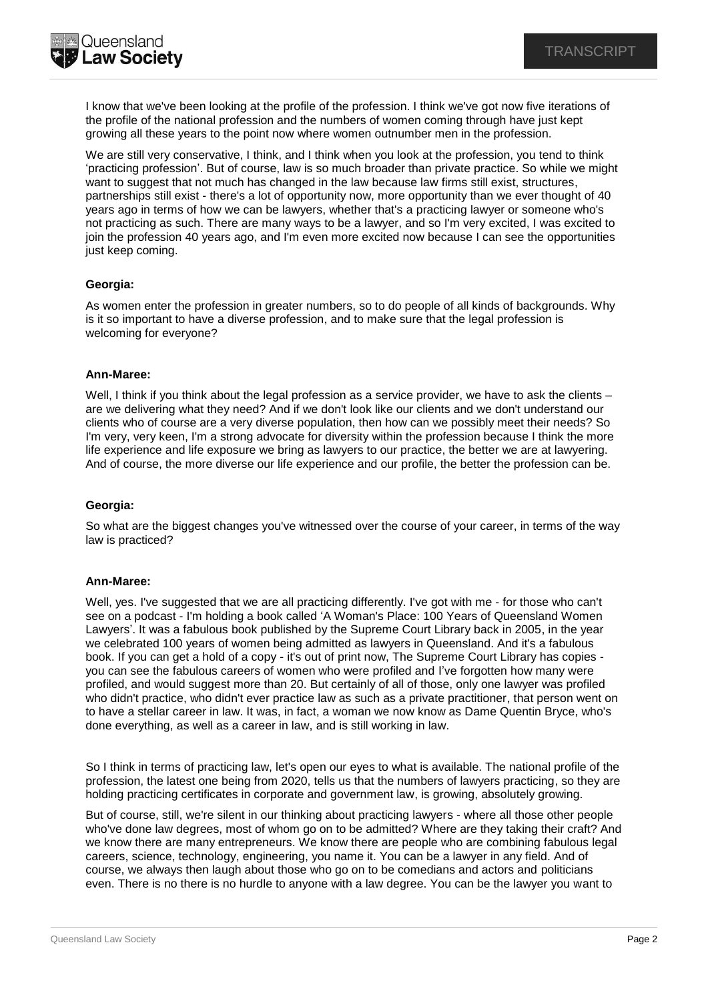

I know that we've been looking at the profile of the profession. I think we've got now five iterations of the profile of the national profession and the numbers of women coming through have just kept growing all these years to the point now where women outnumber men in the profession.

We are still very conservative, I think, and I think when you look at the profession, you tend to think 'practicing profession'. But of course, law is so much broader than private practice. So while we might want to suggest that not much has changed in the law because law firms still exist, structures, partnerships still exist - there's a lot of opportunity now, more opportunity than we ever thought of 40 years ago in terms of how we can be lawyers, whether that's a practicing lawyer or someone who's not practicing as such. There are many ways to be a lawyer, and so I'm very excited, I was excited to join the profession 40 years ago, and I'm even more excited now because I can see the opportunities just keep coming.

## **Georgia:**

As women enter the profession in greater numbers, so to do people of all kinds of backgrounds. Why is it so important to have a diverse profession, and to make sure that the legal profession is welcoming for everyone?

## **Ann-Maree:**

Well, I think if you think about the legal profession as a service provider, we have to ask the clients are we delivering what they need? And if we don't look like our clients and we don't understand our clients who of course are a very diverse population, then how can we possibly meet their needs? So I'm very, very keen, I'm a strong advocate for diversity within the profession because I think the more life experience and life exposure we bring as lawyers to our practice, the better we are at lawyering. And of course, the more diverse our life experience and our profile, the better the profession can be.

## **Georgia:**

So what are the biggest changes you've witnessed over the course of your career, in terms of the way law is practiced?

#### **Ann-Maree:**

Well, yes. I've suggested that we are all practicing differently. I've got with me - for those who can't see on a podcast - I'm holding a book called 'A Woman's Place: 100 Years of Queensland Women Lawyers'. It was a fabulous book published by the Supreme Court Library back in 2005, in the year we celebrated 100 years of women being admitted as lawyers in Queensland. And it's a fabulous book. If you can get a hold of a copy - it's out of print now, The Supreme Court Library has copies you can see the fabulous careers of women who were profiled and I've forgotten how many were profiled, and would suggest more than 20. But certainly of all of those, only one lawyer was profiled who didn't practice, who didn't ever practice law as such as a private practitioner, that person went on to have a stellar career in law. It was, in fact, a woman we now know as Dame Quentin Bryce, who's done everything, as well as a career in law, and is still working in law.

So I think in terms of practicing law, let's open our eyes to what is available. The national profile of the profession, the latest one being from 2020, tells us that the numbers of lawyers practicing, so they are holding practicing certificates in corporate and government law, is growing, absolutely growing.

But of course, still, we're silent in our thinking about practicing lawyers - where all those other people who've done law degrees, most of whom go on to be admitted? Where are they taking their craft? And we know there are many entrepreneurs. We know there are people who are combining fabulous legal careers, science, technology, engineering, you name it. You can be a lawyer in any field. And of course, we always then laugh about those who go on to be comedians and actors and politicians even. There is no there is no hurdle to anyone with a law degree. You can be the lawyer you want to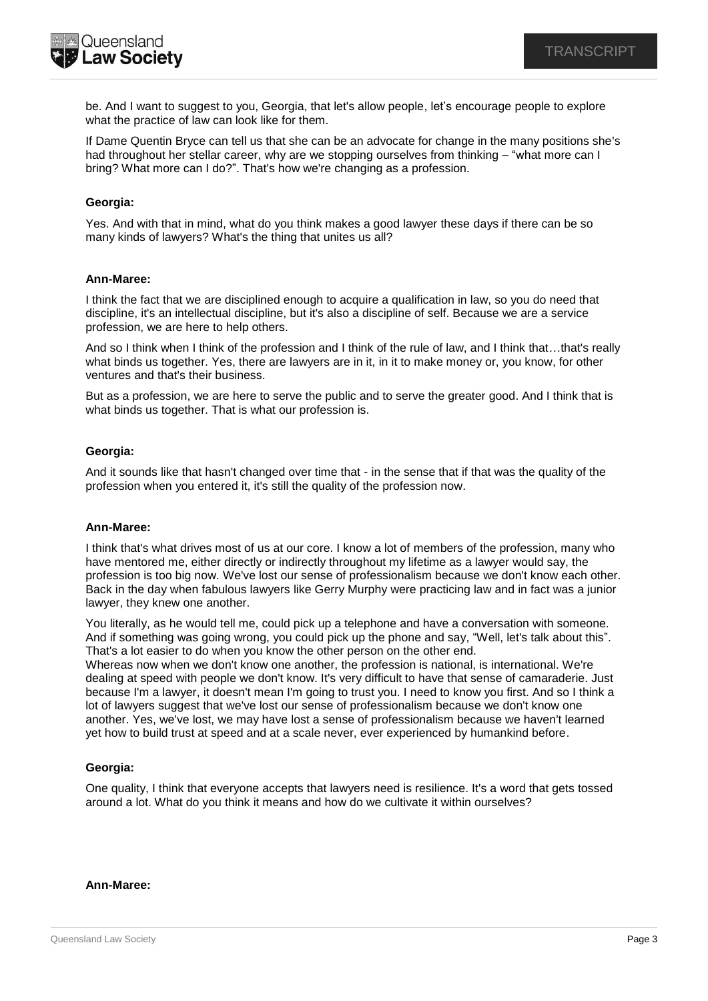

be. And I want to suggest to you, Georgia, that let's allow people, let's encourage people to explore what the practice of law can look like for them.

If Dame Quentin Bryce can tell us that she can be an advocate for change in the many positions she's had throughout her stellar career, why are we stopping ourselves from thinking – "what more can I bring? What more can I do?". That's how we're changing as a profession.

## **Georgia:**

Yes. And with that in mind, what do you think makes a good lawyer these days if there can be so many kinds of lawyers? What's the thing that unites us all?

## **Ann-Maree:**

I think the fact that we are disciplined enough to acquire a qualification in law, so you do need that discipline, it's an intellectual discipline, but it's also a discipline of self. Because we are a service profession, we are here to help others.

And so I think when I think of the profession and I think of the rule of law, and I think that…that's really what binds us together. Yes, there are lawyers are in it, in it to make money or, you know, for other ventures and that's their business.

But as a profession, we are here to serve the public and to serve the greater good. And I think that is what binds us together. That is what our profession is.

## **Georgia:**

And it sounds like that hasn't changed over time that - in the sense that if that was the quality of the profession when you entered it, it's still the quality of the profession now.

#### **Ann-Maree:**

I think that's what drives most of us at our core. I know a lot of members of the profession, many who have mentored me, either directly or indirectly throughout my lifetime as a lawyer would say, the profession is too big now. We've lost our sense of professionalism because we don't know each other. Back in the day when fabulous lawyers like Gerry Murphy were practicing law and in fact was a junior lawyer, they knew one another.

You literally, as he would tell me, could pick up a telephone and have a conversation with someone. And if something was going wrong, you could pick up the phone and say, "Well, let's talk about this". That's a lot easier to do when you know the other person on the other end.

Whereas now when we don't know one another, the profession is national, is international. We're dealing at speed with people we don't know. It's very difficult to have that sense of camaraderie. Just because I'm a lawyer, it doesn't mean I'm going to trust you. I need to know you first. And so I think a lot of lawyers suggest that we've lost our sense of professionalism because we don't know one another. Yes, we've lost, we may have lost a sense of professionalism because we haven't learned yet how to build trust at speed and at a scale never, ever experienced by humankind before.

#### **Georgia:**

One quality, I think that everyone accepts that lawyers need is resilience. It's a word that gets tossed around a lot. What do you think it means and how do we cultivate it within ourselves?

#### **Ann-Maree:**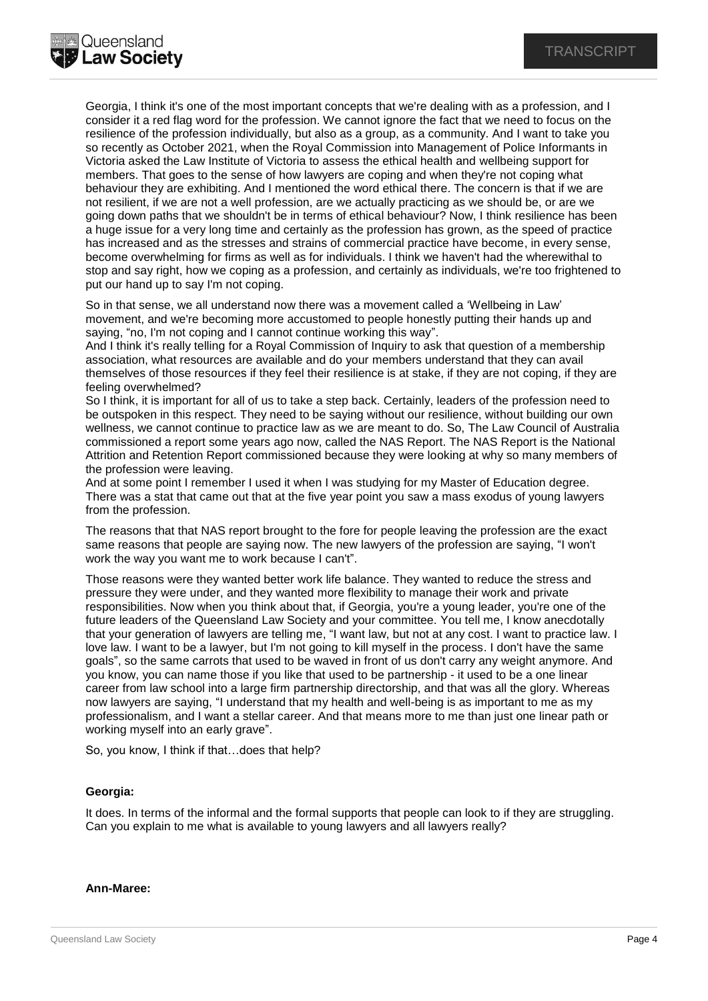Georgia, I think it's one of the most important concepts that we're dealing with as a profession, and I consider it a red flag word for the profession. We cannot ignore the fact that we need to focus on the resilience of the profession individually, but also as a group, as a community. And I want to take you so recently as October 2021, when the Royal Commission into Management of Police Informants in Victoria asked the Law Institute of Victoria to assess the ethical health and wellbeing support for members. That goes to the sense of how lawyers are coping and when they're not coping what behaviour they are exhibiting. And I mentioned the word ethical there. The concern is that if we are not resilient, if we are not a well profession, are we actually practicing as we should be, or are we going down paths that we shouldn't be in terms of ethical behaviour? Now, I think resilience has been a huge issue for a very long time and certainly as the profession has grown, as the speed of practice has increased and as the stresses and strains of commercial practice have become, in every sense, become overwhelming for firms as well as for individuals. I think we haven't had the wherewithal to stop and say right, how we coping as a profession, and certainly as individuals, we're too frightened to put our hand up to say I'm not coping.

So in that sense, we all understand now there was a movement called a 'Wellbeing in Law' movement, and we're becoming more accustomed to people honestly putting their hands up and saying, "no, I'm not coping and I cannot continue working this way".

And I think it's really telling for a Royal Commission of Inquiry to ask that question of a membership association, what resources are available and do your members understand that they can avail themselves of those resources if they feel their resilience is at stake, if they are not coping, if they are feeling overwhelmed?

So I think, it is important for all of us to take a step back. Certainly, leaders of the profession need to be outspoken in this respect. They need to be saying without our resilience, without building our own wellness, we cannot continue to practice law as we are meant to do. So, The Law Council of Australia commissioned a report some years ago now, called the NAS Report. The NAS Report is the National Attrition and Retention Report commissioned because they were looking at why so many members of the profession were leaving.

And at some point I remember I used it when I was studying for my Master of Education degree. There was a stat that came out that at the five year point you saw a mass exodus of young lawyers from the profession.

The reasons that that NAS report brought to the fore for people leaving the profession are the exact same reasons that people are saying now. The new lawyers of the profession are saying, "I won't work the way you want me to work because I can't".

Those reasons were they wanted better work life balance. They wanted to reduce the stress and pressure they were under, and they wanted more flexibility to manage their work and private responsibilities. Now when you think about that, if Georgia, you're a young leader, you're one of the future leaders of the Queensland Law Society and your committee. You tell me, I know anecdotally that your generation of lawyers are telling me, "I want law, but not at any cost. I want to practice law. I love law. I want to be a lawyer, but I'm not going to kill myself in the process. I don't have the same goals", so the same carrots that used to be waved in front of us don't carry any weight anymore. And you know, you can name those if you like that used to be partnership - it used to be a one linear career from law school into a large firm partnership directorship, and that was all the glory. Whereas now lawyers are saying, "I understand that my health and well-being is as important to me as my professionalism, and I want a stellar career. And that means more to me than just one linear path or working myself into an early grave".

So, you know, I think if that…does that help?

### **Georgia:**

Queensland **Law Society** 

It does. In terms of the informal and the formal supports that people can look to if they are struggling. Can you explain to me what is available to young lawyers and all lawyers really?

#### **Ann-Maree:**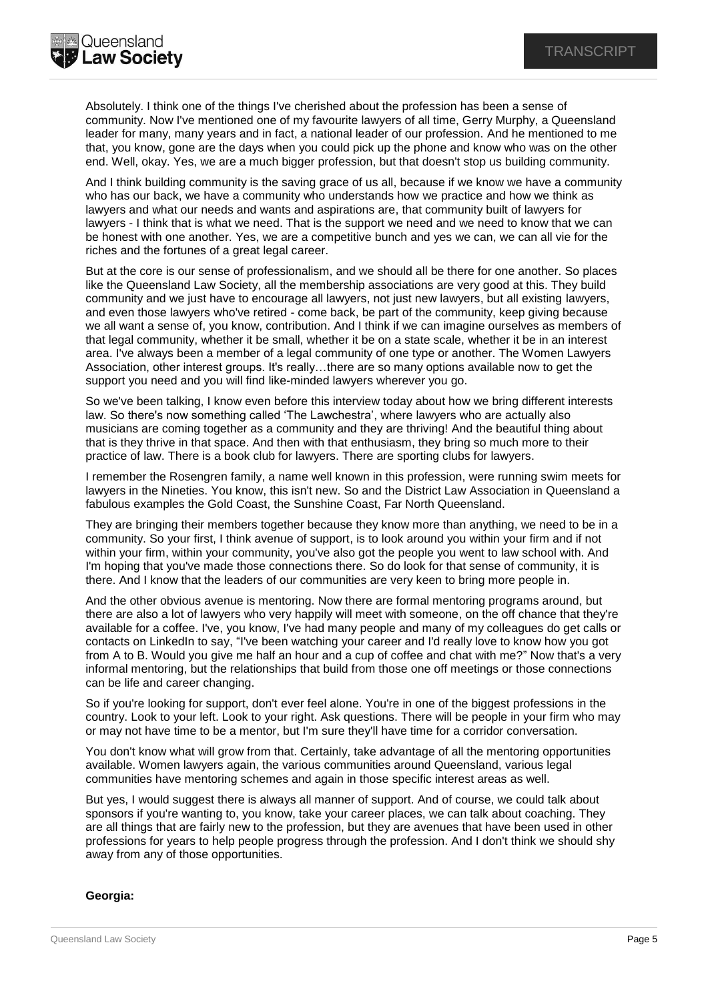

Absolutely. I think one of the things I've cherished about the profession has been a sense of community. Now I've mentioned one of my favourite lawyers of all time, Gerry Murphy, a Queensland leader for many, many years and in fact, a national leader of our profession. And he mentioned to me that, you know, gone are the days when you could pick up the phone and know who was on the other end. Well, okay. Yes, we are a much bigger profession, but that doesn't stop us building community.

And I think building community is the saving grace of us all, because if we know we have a community who has our back, we have a community who understands how we practice and how we think as lawyers and what our needs and wants and aspirations are, that community built of lawyers for lawyers - I think that is what we need. That is the support we need and we need to know that we can be honest with one another. Yes, we are a competitive bunch and yes we can, we can all vie for the riches and the fortunes of a great legal career.

But at the core is our sense of professionalism, and we should all be there for one another. So places like the Queensland Law Society, all the membership associations are very good at this. They build community and we just have to encourage all lawyers, not just new lawyers, but all existing lawyers, and even those lawyers who've retired - come back, be part of the community, keep giving because we all want a sense of, you know, contribution. And I think if we can imagine ourselves as members of that legal community, whether it be small, whether it be on a state scale, whether it be in an interest area. I've always been a member of a legal community of one type or another. The Women Lawyers Association, other interest groups. It's really…there are so many options available now to get the support you need and you will find like-minded lawyers wherever you go.

So we've been talking, I know even before this interview today about how we bring different interests law. So there's now something called 'The Lawchestra', where lawyers who are actually also musicians are coming together as a community and they are thriving! And the beautiful thing about that is they thrive in that space. And then with that enthusiasm, they bring so much more to their practice of law. There is a book club for lawyers. There are sporting clubs for lawyers.

I remember the Rosengren family, a name well known in this profession, were running swim meets for lawyers in the Nineties. You know, this isn't new. So and the District Law Association in Queensland a fabulous examples the Gold Coast, the Sunshine Coast, Far North Queensland.

They are bringing their members together because they know more than anything, we need to be in a community. So your first, I think avenue of support, is to look around you within your firm and if not within your firm, within your community, you've also got the people you went to law school with. And I'm hoping that you've made those connections there. So do look for that sense of community, it is there. And I know that the leaders of our communities are very keen to bring more people in.

And the other obvious avenue is mentoring. Now there are formal mentoring programs around, but there are also a lot of lawyers who very happily will meet with someone, on the off chance that they're available for a coffee. I've, you know, I've had many people and many of my colleagues do get calls or contacts on LinkedIn to say, "I've been watching your career and I'd really love to know how you got from A to B. Would you give me half an hour and a cup of coffee and chat with me?" Now that's a very informal mentoring, but the relationships that build from those one off meetings or those connections can be life and career changing.

So if you're looking for support, don't ever feel alone. You're in one of the biggest professions in the country. Look to your left. Look to your right. Ask questions. There will be people in your firm who may or may not have time to be a mentor, but I'm sure they'll have time for a corridor conversation.

You don't know what will grow from that. Certainly, take advantage of all the mentoring opportunities available. Women lawyers again, the various communities around Queensland, various legal communities have mentoring schemes and again in those specific interest areas as well.

But yes, I would suggest there is always all manner of support. And of course, we could talk about sponsors if you're wanting to, you know, take your career places, we can talk about coaching. They are all things that are fairly new to the profession, but they are avenues that have been used in other professions for years to help people progress through the profession. And I don't think we should shy away from any of those opportunities.

#### **Georgia:**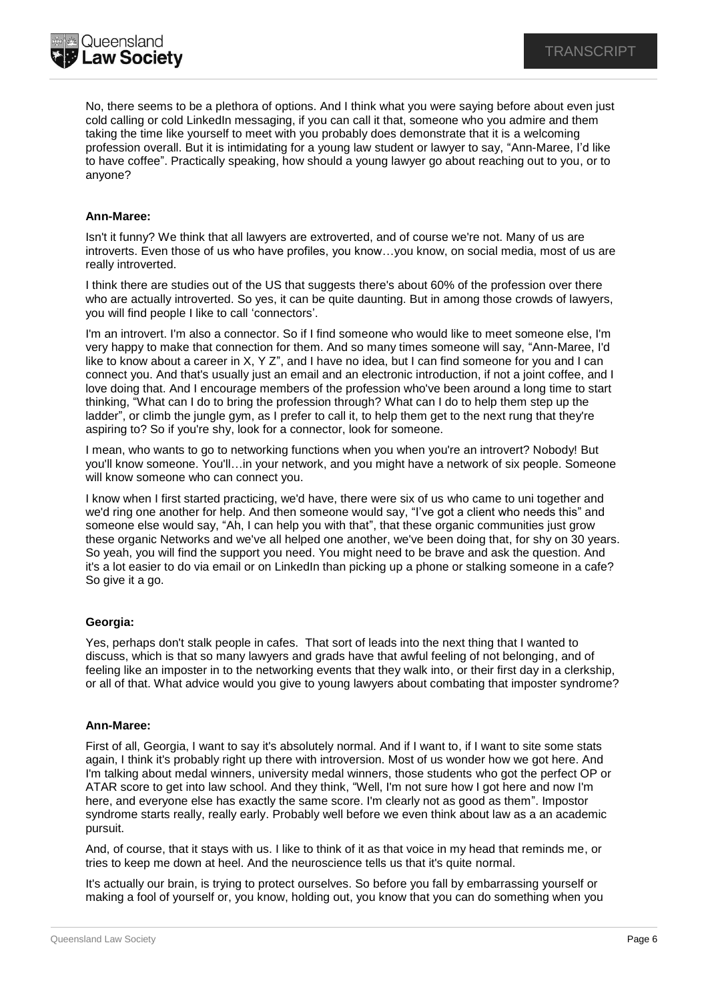

No, there seems to be a plethora of options. And I think what you were saying before about even just cold calling or cold LinkedIn messaging, if you can call it that, someone who you admire and them taking the time like yourself to meet with you probably does demonstrate that it is a welcoming profession overall. But it is intimidating for a young law student or lawyer to say, "Ann-Maree, I'd like to have coffee". Practically speaking, how should a young lawyer go about reaching out to you, or to anyone?

## **Ann-Maree:**

Isn't it funny? We think that all lawyers are extroverted, and of course we're not. Many of us are introverts. Even those of us who have profiles, you know…you know, on social media, most of us are really introverted.

I think there are studies out of the US that suggests there's about 60% of the profession over there who are actually introverted. So yes, it can be quite daunting. But in among those crowds of lawyers, you will find people I like to call 'connectors'.

I'm an introvert. I'm also a connector. So if I find someone who would like to meet someone else, I'm very happy to make that connection for them. And so many times someone will say, "Ann-Maree, I'd like to know about a career in X, Y Z", and I have no idea, but I can find someone for you and I can connect you. And that's usually just an email and an electronic introduction, if not a joint coffee, and I love doing that. And I encourage members of the profession who've been around a long time to start thinking, "What can I do to bring the profession through? What can I do to help them step up the ladder", or climb the jungle gym, as I prefer to call it, to help them get to the next rung that they're aspiring to? So if you're shy, look for a connector, look for someone.

I mean, who wants to go to networking functions when you when you're an introvert? Nobody! But you'll know someone. You'll…in your network, and you might have a network of six people. Someone will know someone who can connect you.

I know when I first started practicing, we'd have, there were six of us who came to uni together and we'd ring one another for help. And then someone would say, "I've got a client who needs this" and someone else would say, "Ah, I can help you with that", that these organic communities just grow these organic Networks and we've all helped one another, we've been doing that, for shy on 30 years. So yeah, you will find the support you need. You might need to be brave and ask the question. And it's a lot easier to do via email or on LinkedIn than picking up a phone or stalking someone in a cafe? So give it a go.

#### **Georgia:**

Yes, perhaps don't stalk people in cafes. That sort of leads into the next thing that I wanted to discuss, which is that so many lawyers and grads have that awful feeling of not belonging, and of feeling like an imposter in to the networking events that they walk into, or their first day in a clerkship, or all of that. What advice would you give to young lawyers about combating that imposter syndrome?

#### **Ann-Maree:**

First of all, Georgia, I want to say it's absolutely normal. And if I want to, if I want to site some stats again, I think it's probably right up there with introversion. Most of us wonder how we got here. And I'm talking about medal winners, university medal winners, those students who got the perfect OP or ATAR score to get into law school. And they think, "Well, I'm not sure how I got here and now I'm here, and everyone else has exactly the same score. I'm clearly not as good as them". Impostor syndrome starts really, really early. Probably well before we even think about law as a an academic pursuit.

And, of course, that it stays with us. I like to think of it as that voice in my head that reminds me, or tries to keep me down at heel. And the neuroscience tells us that it's quite normal.

It's actually our brain, is trying to protect ourselves. So before you fall by embarrassing yourself or making a fool of yourself or, you know, holding out, you know that you can do something when you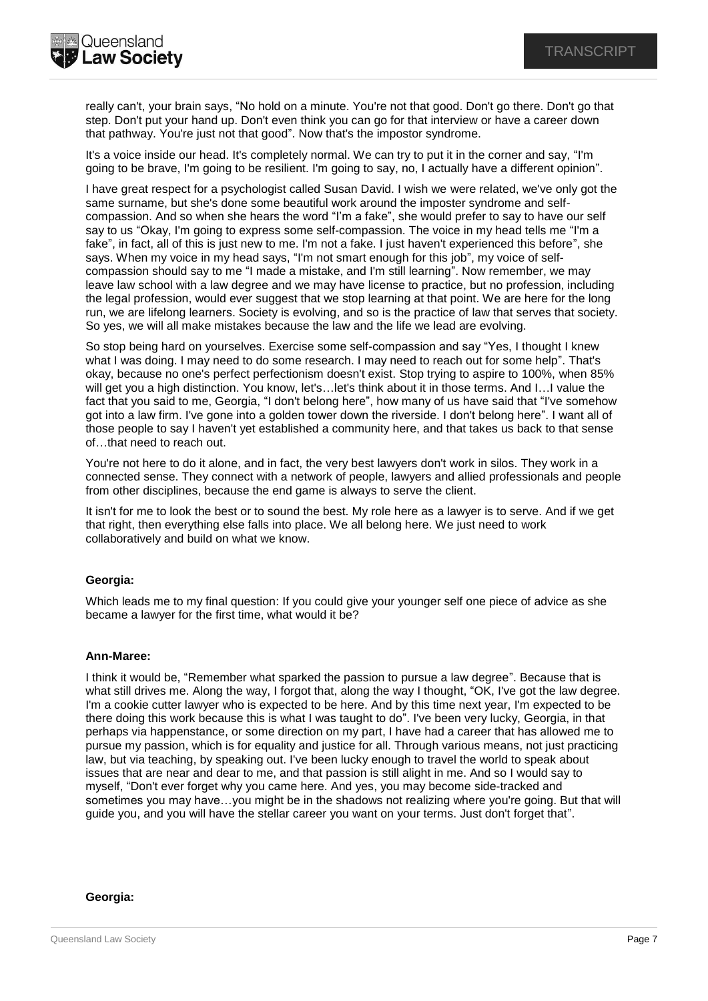

really can't, your brain says, "No hold on a minute. You're not that good. Don't go there. Don't go that step. Don't put your hand up. Don't even think you can go for that interview or have a career down that pathway. You're just not that good". Now that's the impostor syndrome.

It's a voice inside our head. It's completely normal. We can try to put it in the corner and say, "I'm going to be brave, I'm going to be resilient. I'm going to say, no, I actually have a different opinion".

I have great respect for a psychologist called Susan David. I wish we were related, we've only got the same surname, but she's done some beautiful work around the imposter syndrome and selfcompassion. And so when she hears the word "I'm a fake", she would prefer to say to have our self say to us "Okay, I'm going to express some self-compassion. The voice in my head tells me "I'm a fake", in fact, all of this is just new to me. I'm not a fake. I just haven't experienced this before", she says. When my voice in my head says, "I'm not smart enough for this job", my voice of selfcompassion should say to me "I made a mistake, and I'm still learning". Now remember, we may leave law school with a law degree and we may have license to practice, but no profession, including the legal profession, would ever suggest that we stop learning at that point. We are here for the long run, we are lifelong learners. Society is evolving, and so is the practice of law that serves that society. So yes, we will all make mistakes because the law and the life we lead are evolving.

So stop being hard on yourselves. Exercise some self-compassion and say "Yes, I thought I knew what I was doing. I may need to do some research. I may need to reach out for some help". That's okay, because no one's perfect perfectionism doesn't exist. Stop trying to aspire to 100%, when 85% will get you a high distinction. You know, let's…let's think about it in those terms. And I…I value the fact that you said to me, Georgia, "I don't belong here", how many of us have said that "I've somehow got into a law firm. I've gone into a golden tower down the riverside. I don't belong here". I want all of those people to say I haven't yet established a community here, and that takes us back to that sense of…that need to reach out.

You're not here to do it alone, and in fact, the very best lawyers don't work in silos. They work in a connected sense. They connect with a network of people, lawyers and allied professionals and people from other disciplines, because the end game is always to serve the client.

It isn't for me to look the best or to sound the best. My role here as a lawyer is to serve. And if we get that right, then everything else falls into place. We all belong here. We just need to work collaboratively and build on what we know.

## **Georgia:**

Which leads me to my final question: If you could give your younger self one piece of advice as she became a lawyer for the first time, what would it be?

#### **Ann-Maree:**

I think it would be, "Remember what sparked the passion to pursue a law degree". Because that is what still drives me. Along the way, I forgot that, along the way I thought, "OK, I've got the law degree. I'm a cookie cutter lawyer who is expected to be here. And by this time next year, I'm expected to be there doing this work because this is what I was taught to do". I've been very lucky, Georgia, in that perhaps via happenstance, or some direction on my part, I have had a career that has allowed me to pursue my passion, which is for equality and justice for all. Through various means, not just practicing law, but via teaching, by speaking out. I've been lucky enough to travel the world to speak about issues that are near and dear to me, and that passion is still alight in me. And so I would say to myself, "Don't ever forget why you came here. And yes, you may become side-tracked and sometimes you may have...you might be in the shadows not realizing where you're going. But that will guide you, and you will have the stellar career you want on your terms. Just don't forget that".

#### **Georgia:**